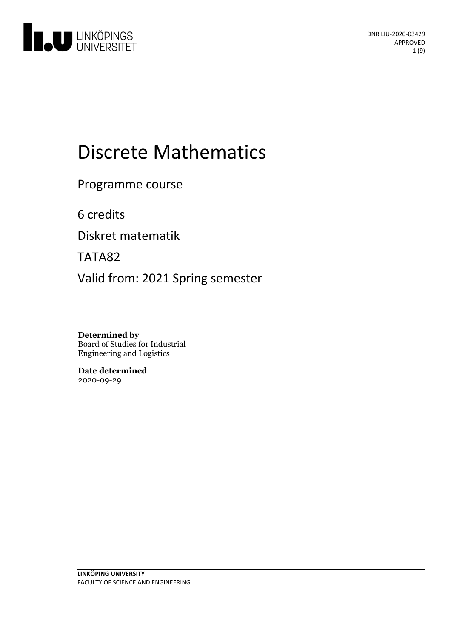

# Discrete Mathematics

Programme course

6 credits

Diskret matematik

TATA82

Valid from: 2021 Spring semester

**Determined by** Board of Studies for Industrial Engineering and Logistics

**Date determined** 2020-09-29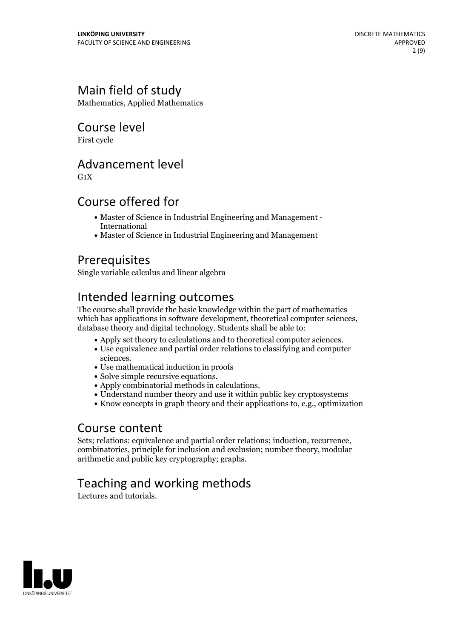### Main field of study

Mathematics, Applied Mathematics

### Course level

First cycle

### Advancement level

 $G_1X$ 

### Course offered for

- Master of Science in Industrial Engineering and Management International
- Master of Science in Industrial Engineering and Management

### Prerequisites

Single variable calculus and linear algebra

### Intended learning outcomes

The course shall provide the basic knowledge within the part of mathematics which has applications in software development, theoretical computer sciences, database theory and digital technology. Students shall be able to:

- Apply set theory to calculations and to theoretical computer sciences. Use equivalence and partial order relations to classifying and computer
- 
- sciences.<br>• Use mathematical induction in proofs
- 
- 
- Solve simple recursive equations. Apply combinatorial methods in calculations. Understand number theory and use it within public key cryptosystems
- Know concepts in graph theory and their applications to, e.g., optimization

Course content<br>Sets; relations: equivalence and partial order relations; induction, recurrence, combinatorics, principle for inclusion and exclusion; number theory, modular arithmetic and public key cryptography; graphs.

### Teaching and working methods

Lectures and tutorials.

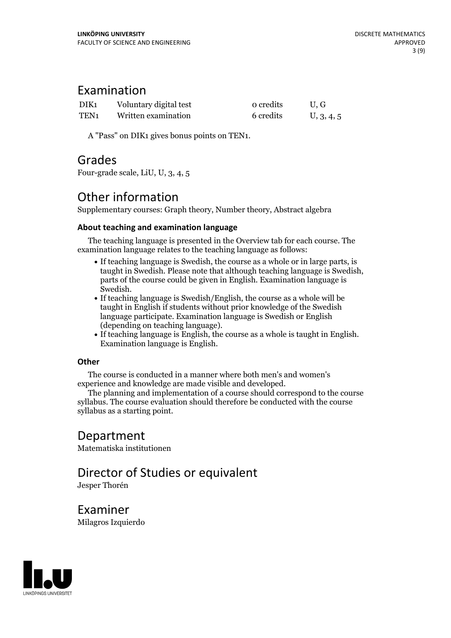### Examination

| DIK1             | Voluntary digital test | o credits | U.G        |
|------------------|------------------------|-----------|------------|
| TEN <sub>1</sub> | Written examination    | 6 credits | U, 3, 4, 5 |

A "Pass" on DIK1 gives bonus points on TEN1.

### Grades

Four-grade scale, LiU, U, 3, 4, 5

### Other information

Supplementary courses: Graph theory, Number theory, Abstract algebra

#### **About teaching and examination language**

The teaching language is presented in the Overview tab for each course. The examination language relates to the teaching language as follows:

- If teaching language is Swedish, the course as a whole or in large parts, is taught in Swedish. Please note that although teaching language is Swedish, parts of the course could be given in English. Examination language is
- Swedish.<br>• If teaching language is Swedish/English, the course as a whole will be taught in English if students without prior knowledge of the Swedish language participate. Examination language is Swedish or English
- (depending on teaching language).<br>• If teaching language is English, the course as a whole is taught in English.<br>Examination language is English.

#### **Other**

The course is conducted in a manner where both men's and women's

experience and knowledge are made visible and developed. The planning and implementation of <sup>a</sup> course should correspond to the course syllabus. The course evaluation should therefore be conducted with the course syllabus as a starting point.

### Department

Matematiska institutionen

## Director of Studies or equivalent

Jesper Thorén

Examiner Milagros Izquierdo

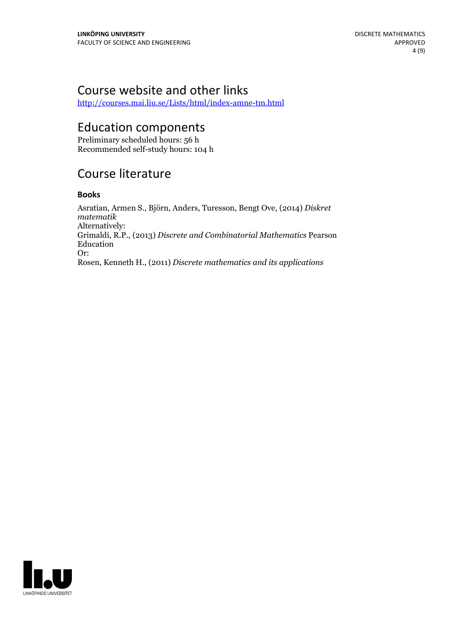### Course website and other links

<http://courses.mai.liu.se/Lists/html/index-amne-tm.html>

### Education components

Preliminary scheduled hours: 56 h Recommended self-study hours: 104 h

### Course literature

#### **Books**

Asratian, Armen S., Björn, Anders, Turesson, Bengt Ove, (2014) *Diskret matematik* Alternatively: Grimaldi, R.P., (2013) *Discrete and Combinatorial Mathematics* Pearson Education Or: Rosen, Kenneth H., (2011) *Discrete mathematics and its applications*

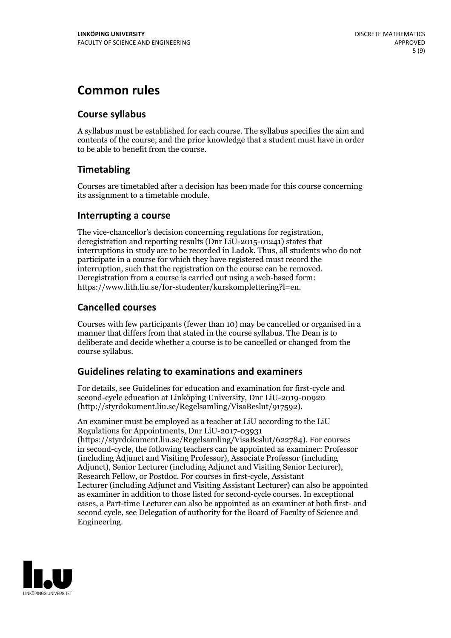### **Common rules**

#### **Course syllabus**

A syllabus must be established for each course. The syllabus specifies the aim and contents of the course, and the prior knowledge that a student must have in order to be able to benefit from the course.

### **Timetabling**

Courses are timetabled after a decision has been made for this course concerning its assignment to a timetable module.

#### **Interrupting a course**

The vice-chancellor's decision concerning regulations for registration, deregistration and reporting results (Dnr LiU-2015-01241) states that interruptions in study are to be recorded in Ladok. Thus, all students who do not participate in a course for which they have registered must record the interruption, such that the registration on the course can be removed. Deregistration from <sup>a</sup> course is carried outusing <sup>a</sup> web-based form: https://www.lith.liu.se/for-studenter/kurskomplettering?l=en.

### **Cancelled courses**

Courses with few participants (fewer than 10) may be cancelled or organised in a manner that differs from that stated in the course syllabus. The Dean is to deliberate and decide whether a course is to be cancelled or changed from the course syllabus.

### **Guidelines relatingto examinations and examiners**

For details, see Guidelines for education and examination for first-cycle and second-cycle education at Linköping University, Dnr LiU-2019-00920 (http://styrdokument.liu.se/Regelsamling/VisaBeslut/917592).

An examiner must be employed as a teacher at LiU according to the LiU Regulations for Appointments, Dnr LiU-2017-03931 (https://styrdokument.liu.se/Regelsamling/VisaBeslut/622784). For courses in second-cycle, the following teachers can be appointed as examiner: Professor (including Adjunct and Visiting Professor), Associate Professor (including Adjunct), Senior Lecturer (including Adjunct and Visiting Senior Lecturer), Research Fellow, or Postdoc. For courses in first-cycle, Assistant Lecturer (including Adjunct and Visiting Assistant Lecturer) can also be appointed as examiner in addition to those listed for second-cycle courses. In exceptional cases, a Part-time Lecturer can also be appointed as an examiner at both first- and second cycle, see Delegation of authority for the Board of Faculty of Science and Engineering.

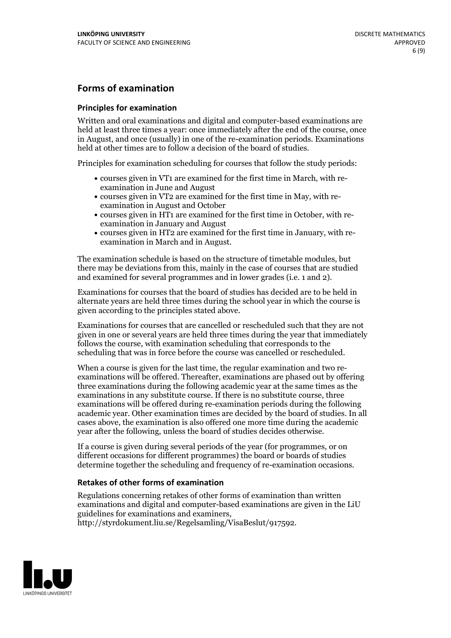### **Forms of examination**

#### **Principles for examination**

Written and oral examinations and digital and computer-based examinations are held at least three times a year: once immediately after the end of the course, once in August, and once (usually) in one of the re-examination periods. Examinations held at other times are to follow a decision of the board of studies.

Principles for examination scheduling for courses that follow the study periods:

- courses given in VT1 are examined for the first time in March, with re-examination in June and August
- courses given in VT2 are examined for the first time in May, with re-examination in August and October
- courses given in HT1 are examined for the first time in October, with re-examination in January and August
- courses given in HT2 are examined for the first time in January, with re-examination in March and in August.

The examination schedule is based on the structure of timetable modules, but there may be deviations from this, mainly in the case of courses that are studied and examined for several programmes and in lower grades (i.e. 1 and 2).

Examinations for courses that the board of studies has decided are to be held in alternate years are held three times during the school year in which the course is given according to the principles stated above.

Examinations for courses that are cancelled orrescheduled such that they are not given in one or several years are held three times during the year that immediately follows the course, with examination scheduling that corresponds to the scheduling that was in force before the course was cancelled or rescheduled.

When a course is given for the last time, the regular examination and two re-<br>examinations will be offered. Thereafter, examinations are phased out by offering three examinations during the following academic year at the same times as the examinations in any substitute course. If there is no substitute course, three examinations will be offered during re-examination periods during the following academic year. Other examination times are decided by the board of studies. In all cases above, the examination is also offered one more time during the academic year after the following, unless the board of studies decides otherwise.

If a course is given during several periods of the year (for programmes, or on different occasions for different programmes) the board or boards of studies determine together the scheduling and frequency of re-examination occasions.

#### **Retakes of other forms of examination**

Regulations concerning retakes of other forms of examination than written examinations and digital and computer-based examinations are given in the LiU guidelines for examinations and examiners, http://styrdokument.liu.se/Regelsamling/VisaBeslut/917592.

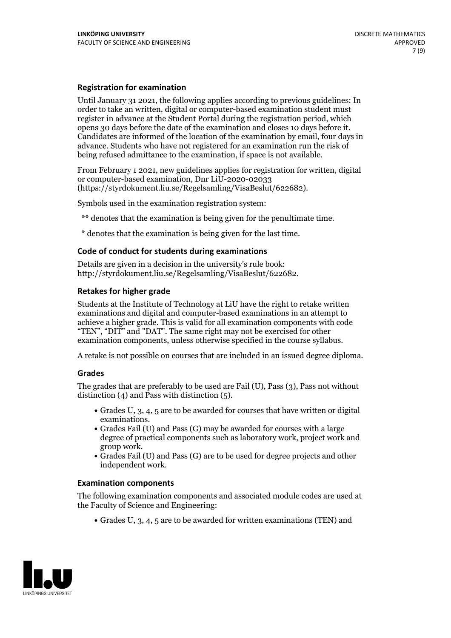#### **Registration for examination**

Until January 31 2021, the following applies according to previous guidelines: In order to take an written, digital or computer-based examination student must register in advance at the Student Portal during the registration period, which Candidates are informed of the location of the examination by email, four days in advance. Students who have not registered for an examination run the risk of being refused admittance to the examination, if space is not available.

From February 1 2021, new guidelines applies for registration for written, digital or computer-based examination, Dnr LiU-2020-02033 (https://styrdokument.liu.se/Regelsamling/VisaBeslut/622682).

Symbols used in the examination registration system:

\*\* denotes that the examination is being given for the penultimate time.

\* denotes that the examination is being given for the last time.

#### **Code of conduct for students during examinations**

Details are given in a decision in the university's rule book: http://styrdokument.liu.se/Regelsamling/VisaBeslut/622682.

#### **Retakes for higher grade**

Students at the Institute of Technology at LiU have the right to retake written examinations and digital and computer-based examinations in an attempt to achieve a higher grade. This is valid for all examination components with code "TEN", "DIT" and "DAT". The same right may not be exercised for other examination components, unless otherwise specified in the course syllabus.

A retake is not possible on courses that are included in an issued degree diploma.

#### **Grades**

The grades that are preferably to be used are Fail (U), Pass (3), Pass not without distinction  $(4)$  and Pass with distinction  $(5)$ .

- Grades U, 3, 4, 5 are to be awarded for courses that have written or digital examinations.<br>• Grades Fail (U) and Pass (G) may be awarded for courses with a large
- degree of practical components such as laboratory work, project work and
- $\bullet$  Grades Fail (U) and Pass (G) are to be used for degree projects and other independent work.

#### **Examination components**

The following examination components and associated module codes are used at the Faculty of Science and Engineering:

Grades U, 3, 4, 5 are to be awarded for written examinations (TEN) and

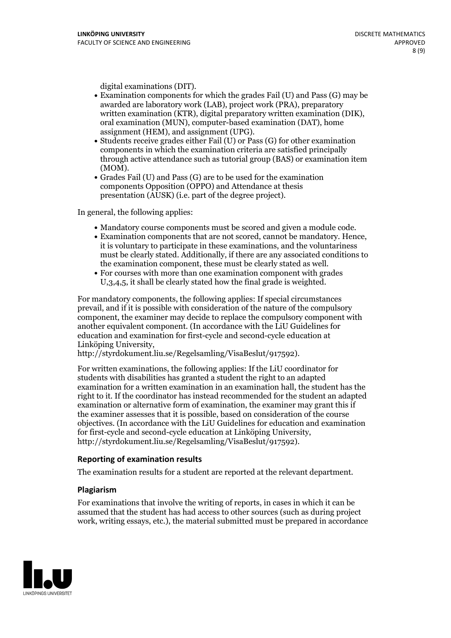- digital examinations (DIT).<br>• Examination components for which the grades Fail (U) and Pass (G) may be awarded are laboratory work (LAB), project work (PRA), preparatory written examination (KTR), digital preparatory written examination (DIK), oral examination (MUN), computer-based examination (DAT), home
- assignment (HEM), and assignment (UPG).<br>• Students receive grades either Fail (U) or Pass (G) for other examination components in which the examination criteria are satisfied principally through active attendance such as tutorial group (BAS) or examination item
- (MOM).<br>• Grades Fail (U) and Pass (G) are to be used for the examination components Opposition (OPPO) and Attendance at thesis presentation (AUSK) (i.e. part of the degree project).

In general, the following applies:

- 
- Mandatory course components must be scored and given <sup>a</sup> module code. Examination components that are not scored, cannot be mandatory. Hence, it is voluntary to participate in these examinations, and the voluntariness must be clearly stated. Additionally, if there are any associated conditions to the examination component, these must be clearly stated as well.<br>• For courses with more than one examination component with grades
- U,3,4,5, it shall be clearly stated how the final grade is weighted.

For mandatory components, the following applies: If special circumstances prevail, and if it is possible with consideration of the nature ofthe compulsory component, the examiner may decide to replace the compulsory component with another equivalent component. (In accordance with the LiU Guidelines for education and examination for first-cycle and second-cycle education at Linköping University, http://styrdokument.liu.se/Regelsamling/VisaBeslut/917592).

For written examinations, the following applies: If the LiU coordinator for students with disabilities has granted a student the right to an adapted examination for a written examination in an examination hall, the student has the right to it. If the coordinator has instead recommended for the student an adapted examination or alternative form of examination, the examiner may grant this if the examiner assesses that it is possible, based on consideration of the course objectives. (In accordance with the LiU Guidelines for education and examination for first-cycle and second-cycle education at Linköping University, http://styrdokument.liu.se/Regelsamling/VisaBeslut/917592).

#### **Reporting of examination results**

The examination results for a student are reported at the relevant department.

#### **Plagiarism**

For examinations that involve the writing of reports, in cases in which it can be assumed that the student has had access to other sources (such as during project work, writing essays, etc.), the material submitted must be prepared in accordance